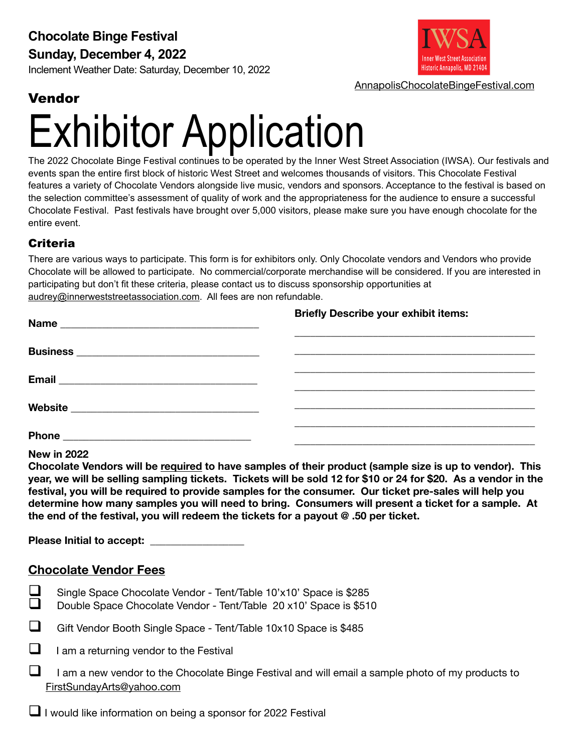#### **Sunday, December 4, 2022**

Inclement Weather Date: Saturday, December 10, 2022



[AnnapolisChocolateBingeFestival.com](http://AnnapolisChocolateBingeFestival.com)

### Vendor

# Exhibitor Application

The 2022 Chocolate Binge Festival continues to be operated by the Inner West Street Association (IWSA). Our festivals and events span the entire first block of historic West Street and welcomes thousands of visitors. This Chocolate Festival features a variety of Chocolate Vendors alongside live music, vendors and sponsors. Acceptance to the festival is based on the selection committee's assessment of quality of work and the appropriateness for the audience to ensure a successful Chocolate Festival. Past festivals have brought over 5,000 visitors, please make sure you have enough chocolate for the entire event.

#### Criteria

There are various ways to participate. This form is for exhibitors only. Only Chocolate vendors and Vendors who provide Chocolate will be allowed to participate. No commercial/corporate merchandise will be considered. If you are interested in participating but don't fit these criteria, please contact us to discuss sponsorship opportunities at [audrey@innerweststreetassociation.com](mailto:audrey@innerweststreetassociation.com). All fees are non refundable.

| <b>Briefly Describe your exhibit items:</b> |
|---------------------------------------------|
|                                             |
|                                             |
|                                             |
|                                             |

**New in 2022** 

**Chocolate Vendors will be required to have samples of their product (sample size is up to vendor). This year, we will be selling sampling tickets. Tickets will be sold 12 for \$10 or 24 for \$20. As a vendor in the festival, you will be required to provide samples for the consumer. Our ticket pre-sales will help you determine how many samples you will need to bring. Consumers will present a ticket for a sample. At the end of the festival, you will redeem the tickets for a payout @ .50 per ticket.** 

**Please Initial to accept:** 

#### **Chocolate Vendor Fees**

- ! Single Space Chocolate Vendor Tent/Table 10'x10' Space is \$285
- Double Space Chocolate Vendor Tent/Table 20 x10' Space is \$510
- ! Gift Vendor Booth Single Space Tent/Table 10x10 Space is \$485
- $\Box$  I am a returning vendor to the Festival
- $\Box$  I am a new vendor to the Chocolate Binge Festival and will email a sample photo of my products to [FirstSundayArts@yahoo.com](mailto:FirstSundayArts@yahoo.com)

I I would like information on being a sponsor for 2022 Festival